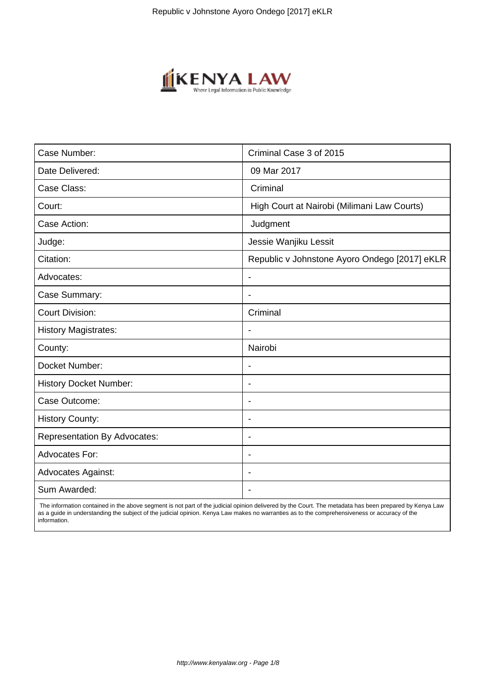

| Case Number:                        | Criminal Case 3 of 2015                       |
|-------------------------------------|-----------------------------------------------|
| Date Delivered:                     | 09 Mar 2017                                   |
| Case Class:                         | Criminal                                      |
| Court:                              | High Court at Nairobi (Milimani Law Courts)   |
| Case Action:                        | Judgment                                      |
| Judge:                              | Jessie Wanjiku Lessit                         |
| Citation:                           | Republic v Johnstone Ayoro Ondego [2017] eKLR |
| Advocates:                          | $\blacksquare$                                |
| Case Summary:                       |                                               |
| <b>Court Division:</b>              | Criminal                                      |
| <b>History Magistrates:</b>         |                                               |
| County:                             | Nairobi                                       |
| Docket Number:                      |                                               |
| <b>History Docket Number:</b>       | $\overline{\phantom{a}}$                      |
| Case Outcome:                       | $\blacksquare$                                |
| <b>History County:</b>              |                                               |
| <b>Representation By Advocates:</b> | $\blacksquare$                                |
| <b>Advocates For:</b>               | $\overline{\phantom{a}}$                      |
| <b>Advocates Against:</b>           |                                               |
| Sum Awarded:                        |                                               |

 The information contained in the above segment is not part of the judicial opinion delivered by the Court. The metadata has been prepared by Kenya Law as a guide in understanding the subject of the judicial opinion. Kenya Law makes no warranties as to the comprehensiveness or accuracy of the information.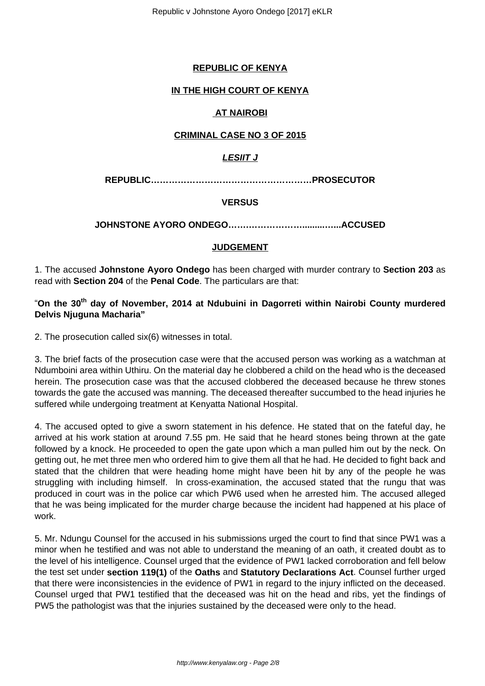# **REPUBLIC OF KENYA**

#### **IN THE HIGH COURT OF KENYA**

#### **AT NAIROBI**

#### **CRIMINAL CASE NO 3 OF 2015**

# **LESIIT J**

**REPUBLIC………………………………………………PROSECUTOR**

#### **VERSUS**

### **JOHNSTONE AYORO ONDEGO…….……………….........…...ACCUSED**

### **JUDGEMENT**

1. The accused **Johnstone Ayoro Ondego** has been charged with murder contrary to **Section 203** as read with **Section 204** of the **Penal Code**. The particulars are that:

# "**On the 30th day of November, 2014 at Ndubuini in Dagorreti within Nairobi County murdered Delvis Njuguna Macharia"**

2. The prosecution called six(6) witnesses in total.

3. The brief facts of the prosecution case were that the accused person was working as a watchman at Ndumboini area within Uthiru. On the material day he clobbered a child on the head who is the deceased herein. The prosecution case was that the accused clobbered the deceased because he threw stones towards the gate the accused was manning. The deceased thereafter succumbed to the head injuries he suffered while undergoing treatment at Kenyatta National Hospital.

4. The accused opted to give a sworn statement in his defence. He stated that on the fateful day, he arrived at his work station at around 7.55 pm. He said that he heard stones being thrown at the gate followed by a knock. He proceeded to open the gate upon which a man pulled him out by the neck. On getting out, he met three men who ordered him to give them all that he had. He decided to fight back and stated that the children that were heading home might have been hit by any of the people he was struggling with including himself. ln cross-examination, the accused stated that the rungu that was produced in court was in the police car which PW6 used when he arrested him. The accused alleged that he was being implicated for the murder charge because the incident had happened at his place of work.

5. Mr. Ndungu Counsel for the accused in his submissions urged the court to find that since PW1 was a minor when he testified and was not able to understand the meaning of an oath, it created doubt as to the level of his intelligence. Counsel urged that the evidence of PW1 lacked corroboration and fell below the test set under **section 119(1)** of the **Oaths** and **Statutory Declarations Act**. Counsel further urged that there were inconsistencies in the evidence of PW1 in regard to the injury inflicted on the deceased. Counsel urged that PW1 testified that the deceased was hit on the head and ribs, yet the findings of PW5 the pathologist was that the injuries sustained by the deceased were only to the head.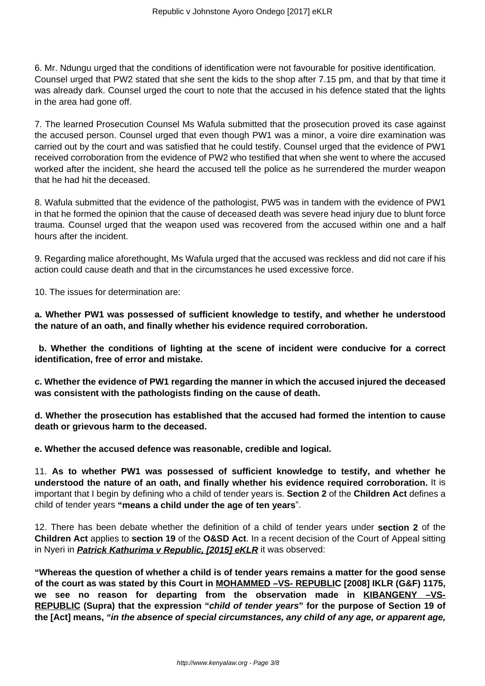6. Mr. Ndungu urged that the conditions of identification were not favourable for positive identification. Counsel urged that PW2 stated that she sent the kids to the shop after 7.15 pm, and that by that time it was already dark. Counsel urged the court to note that the accused in his defence stated that the lights in the area had gone off.

7. The learned Prosecution Counsel Ms Wafula submitted that the prosecution proved its case against the accused person. Counsel urged that even though PW1 was a minor, a voire dire examination was carried out by the court and was satisfied that he could testify. Counsel urged that the evidence of PW1 received corroboration from the evidence of PW2 who testified that when she went to where the accused worked after the incident, she heard the accused tell the police as he surrendered the murder weapon that he had hit the deceased.

8. Wafula submitted that the evidence of the pathologist, PW5 was in tandem with the evidence of PW1 in that he formed the opinion that the cause of deceased death was severe head injury due to blunt force trauma. Counsel urged that the weapon used was recovered from the accused within one and a half hours after the incident.

9. Regarding malice aforethought, Ms Wafula urged that the accused was reckless and did not care if his action could cause death and that in the circumstances he used excessive force.

10. The issues for determination are:

**a. Whether PW1 was possessed of sufficient knowledge to testify, and whether he understood the nature of an oath, and finally whether his evidence required corroboration.**

**b. Whether the conditions of lighting at the scene of incident were conducive for a correct identification, free of error and mistake.**

**c. Whether the evidence of PW1 regarding the manner in which the accused injured the deceased was consistent with the pathologists finding on the cause of death.**

**d. Whether the prosecution has established that the accused had formed the intention to cause death or grievous harm to the deceased.**

**e. Whether the accused defence was reasonable, credible and logical.**

11. **As to whether PW1 was possessed of sufficient knowledge to testify, and whether he understood the nature of an oath, and finally whether his evidence required corroboration.** It is important that I begin by defining who a child of tender years is. **Section 2** of the **Children Act** defines a child of tender years **"means a child under the age of ten years**".

12. There has been debate whether the definition of a child of tender years under **section 2** of the **Children Act** applies to **section 19** of the **O&SD Act**. In a recent decision of the Court of Appeal sitting in Nyeri in **Patrick Kathurima v Republic, [2015] eKLR** it was observed:

**"Whereas the question of whether a child is of tender years remains a matter for the good sense of the court as was stated by this Court in MOHAMMED –VS- REPUBLIC [2008] IKLR (G&F) 1175,** we see no reason for departing from the observation made in **KIBANGENY** -VS-**REPUBLIC (Supra) that the expression "child of tender years" for the purpose of Section 19 of the [Act] means, "in the absence of special circumstances, any child of any age, or apparent age,**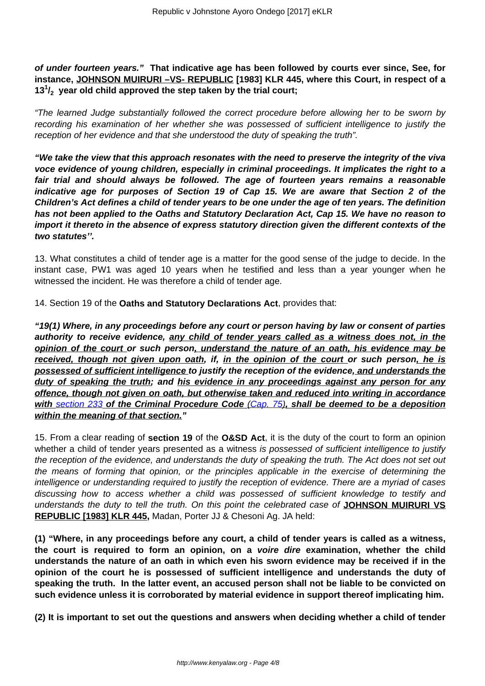**of under fourteen years." That indicative age has been followed by courts ever since, See, for instance, JOHNSON MUIRURI –VS- REPUBLIC [1983] KLR 445, where this Court, in respect of a 13<sup>1</sup> /2 year old child approved the step taken by the trial court;**

"The learned Judge substantially followed the correct procedure before allowing her to be sworn by recording his examination of her whether she was possessed of sufficient intelligence to justify the reception of her evidence and that she understood the duty of speaking the truth".

**"We take the view that this approach resonates with the need to preserve the integrity of the viva voce evidence of young children, especially in criminal proceedings. It implicates the right to a fair trial and should always be followed. The age of fourteen years remains a reasonable indicative age for purposes of Section 19 of Cap 15. We are aware that Section 2 of the Children's Act defines a child of tender years to be one under the age of ten years. The definition has not been applied to the Oaths and Statutory Declaration Act, Cap 15. We have no reason to import it thereto in the absence of express statutory direction given the different contexts of the two statutes''.**

13. What constitutes a child of tender age is a matter for the good sense of the judge to decide. In the instant case, PW1 was aged 10 years when he testified and less than a year younger when he witnessed the incident. He was therefore a child of tender age.

14. Section 19 of the **Oaths and Statutory Declarations Act**, provides that:

**"19(1) Where, in any proceedings before any court or person having by law or consent of parties authority to receive evidence, any child of tender years called as a witness does not, in the opinion of the court or such person, understand the nature of an oath, his evidence may be received, though not given upon oath, if, in the opinion of the court or such person, he is possessed of sufficient intelligence to justify the reception of the evidence, and understands the duty of speaking the truth; and his evidence in any proceedings against any person for any offence, though not given on oath, but otherwise taken and reduced into writing in accordance with** [section 233](http://www.kenyalaw.org:8181/exist/kenyalex/actviewbyid.xql"id=KE/LEG/EN/AR/C/CHAPTER%2075/sec_233#KE/LEG/EN/AR/C/CHAPTER%2075/sec_233) **of the Criminal Procedure Code** [\(Cap. 75\)](http://www.kenyalaw.org:8181/exist/kenyalex/actviewbyid.xql"id=KE/LEG/EN/AR/C/CHAPTER%2075#KE/LEG/EN/AR/C/CHAPTER%2075)**, shall be deemed to be a deposition within the meaning of that section."**

15. From a clear reading of **section 19** of the **O&SD Act**, it is the duty of the court to form an opinion whether a child of tender years presented as a witness is possessed of sufficient intelligence to justify the reception of the evidence, and understands the duty of speaking the truth. The Act does not set out the means of forming that opinion, or the principles applicable in the exercise of determining the intelligence or understanding required to justify the reception of evidence. There are a myriad of cases discussing how to access whether a child was possessed of sufficient knowledge to testify and understands the duty to tell the truth. On this point the celebrated case of **JOHNSON MUIRURI VS REPUBLIC [1983] KLR 445,** Madan, Porter JJ & Chesoni Ag. JA held:

**(1) "Where, in any proceedings before any court, a child of tender years is called as a witness, the court is required to form an opinion, on a voire dire examination, whether the child understands the nature of an oath in which even his sworn evidence may be received if in the opinion of the court he is possessed of sufficient intelligence and understands the duty of speaking the truth. In the latter event, an accused person shall not be liable to be convicted on such evidence unless it is corroborated by material evidence in support thereof implicating him.**

**(2) It is important to set out the questions and answers when deciding whether a child of tender**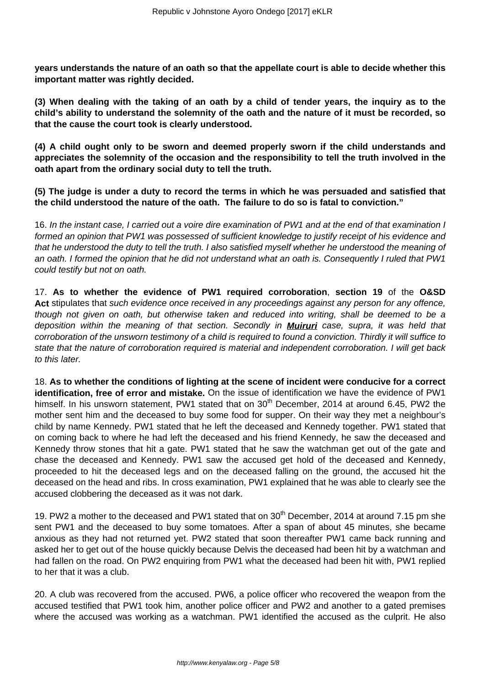**years understands the nature of an oath so that the appellate court is able to decide whether this important matter was rightly decided.**

**(3) When dealing with the taking of an oath by a child of tender years, the inquiry as to the child's ability to understand the solemnity of the oath and the nature of it must be recorded, so that the cause the court took is clearly understood.**

**(4) A child ought only to be sworn and deemed properly sworn if the child understands and appreciates the solemnity of the occasion and the responsibility to tell the truth involved in the oath apart from the ordinary social duty to tell the truth.**

**(5) The judge is under a duty to record the terms in which he was persuaded and satisfied that the child understood the nature of the oath. The failure to do so is fatal to conviction."**

16. In the instant case, I carried out a voire dire examination of PW1 and at the end of that examination I formed an opinion that PW1 was possessed of sufficient knowledge to justify receipt of his evidence and that he understood the duty to tell the truth. I also satisfied myself whether he understood the meaning of an oath. I formed the opinion that he did not understand what an oath is. Consequently I ruled that PW1 could testify but not on oath.

17. **As to whether the evidence of PW1 required corroboration**, **section 19** of the **O&SD Act** stipulates that such evidence once received in any proceedings against any person for any offence, though not given on oath, but otherwise taken and reduced into writing, shall be deemed to be a deposition within the meaning of that section. Secondly in **Muiruri** case, supra, it was held that corroboration of the unsworn testimony of a child is required to found a conviction. Thirdly it will suffice to state that the nature of corroboration required is material and independent corroboration. I will get back to this later.

18. **As to whether the conditions of lighting at the scene of incident were conducive for a correct identification, free of error and mistake.** On the issue of identification we have the evidence of PW1 himself. In his unsworn statement, PW1 stated that on 30<sup>th</sup> December, 2014 at around 6.45, PW2 the mother sent him and the deceased to buy some food for supper. On their way they met a neighbour's child by name Kennedy. PW1 stated that he left the deceased and Kennedy together. PW1 stated that on coming back to where he had left the deceased and his friend Kennedy, he saw the deceased and Kennedy throw stones that hit a gate. PW1 stated that he saw the watchman get out of the gate and chase the deceased and Kennedy. PW1 saw the accused get hold of the deceased and Kennedy, proceeded to hit the deceased legs and on the deceased falling on the ground, the accused hit the deceased on the head and ribs. In cross examination, PW1 explained that he was able to clearly see the accused clobbering the deceased as it was not dark.

19. PW2 a mother to the deceased and PW1 stated that on 30<sup>th</sup> December, 2014 at around 7.15 pm she sent PW1 and the deceased to buy some tomatoes. After a span of about 45 minutes, she became anxious as they had not returned yet. PW2 stated that soon thereafter PW1 came back running and asked her to get out of the house quickly because Delvis the deceased had been hit by a watchman and had fallen on the road. On PW2 enquiring from PW1 what the deceased had been hit with, PW1 replied to her that it was a club.

20. A club was recovered from the accused. PW6, a police officer who recovered the weapon from the accused testified that PW1 took him, another police officer and PW2 and another to a gated premises where the accused was working as a watchman. PW1 identified the accused as the culprit. He also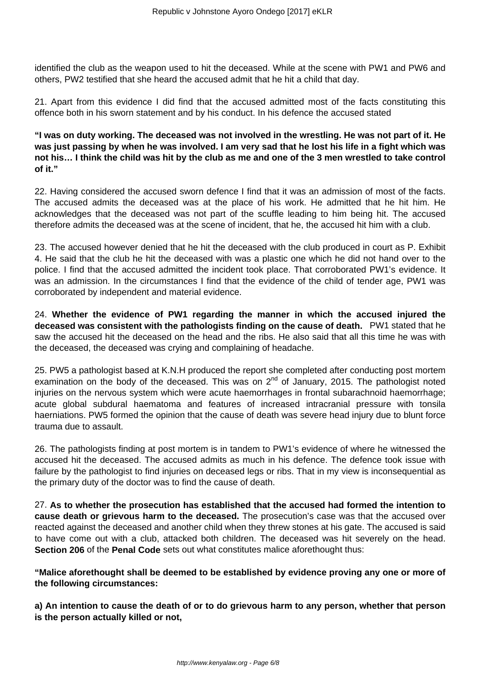identified the club as the weapon used to hit the deceased. While at the scene with PW1 and PW6 and others, PW2 testified that she heard the accused admit that he hit a child that day.

21. Apart from this evidence I did find that the accused admitted most of the facts constituting this offence both in his sworn statement and by his conduct. In his defence the accused stated

**"I was on duty working. The deceased was not involved in the wrestling. He was not part of it. He was just passing by when he was involved. I am very sad that he lost his life in a fight which was not his… I think the child was hit by the club as me and one of the 3 men wrestled to take control of it."**

22. Having considered the accused sworn defence I find that it was an admission of most of the facts. The accused admits the deceased was at the place of his work. He admitted that he hit him. He acknowledges that the deceased was not part of the scuffle leading to him being hit. The accused therefore admits the deceased was at the scene of incident, that he, the accused hit him with a club.

23. The accused however denied that he hit the deceased with the club produced in court as P. Exhibit 4. He said that the club he hit the deceased with was a plastic one which he did not hand over to the police. I find that the accused admitted the incident took place. That corroborated PW1's evidence. It was an admission. In the circumstances I find that the evidence of the child of tender age, PW1 was corroborated by independent and material evidence.

24. **Whether the evidence of PW1 regarding the manner in which the accused injured the deceased was consistent with the pathologists finding on the cause of death.** PW1 stated that he saw the accused hit the deceased on the head and the ribs. He also said that all this time he was with the deceased, the deceased was crying and complaining of headache.

25. PW5 a pathologist based at K.N.H produced the report she completed after conducting post mortem examination on the body of the deceased. This was on  $2<sup>nd</sup>$  of January, 2015. The pathologist noted injuries on the nervous system which were acute haemorrhages in frontal subarachnoid haemorrhage; acute global subdural haematoma and features of increased intracranial pressure with tonsila haerniations. PW5 formed the opinion that the cause of death was severe head injury due to blunt force trauma due to assault.

26. The pathologists finding at post mortem is in tandem to PW1's evidence of where he witnessed the accused hit the deceased. The accused admits as much in his defence. The defence took issue with failure by the pathologist to find injuries on deceased legs or ribs. That in my view is inconsequential as the primary duty of the doctor was to find the cause of death.

27. **As to whether the prosecution has established that the accused had formed the intention to cause death or grievous harm to the deceased.** The prosecution's case was that the accused over reacted against the deceased and another child when they threw stones at his gate. The accused is said to have come out with a club, attacked both children. The deceased was hit severely on the head. **Section 206** of the **Penal Code** sets out what constitutes malice aforethought thus:

**"Malice aforethought shall be deemed to be established by evidence proving any one or more of the following circumstances:**

**a) An intention to cause the death of or to do grievous harm to any person, whether that person is the person actually killed or not,**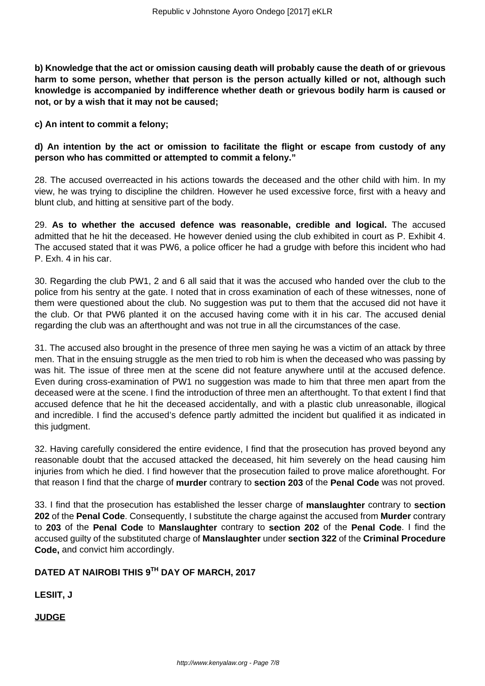**b) Knowledge that the act or omission causing death will probably cause the death of or grievous harm to some person, whether that person is the person actually killed or not, although such knowledge is accompanied by indifference whether death or grievous bodily harm is caused or not, or by a wish that it may not be caused;**

**c) An intent to commit a felony;**

# **d) An intention by the act or omission to facilitate the flight or escape from custody of any person who has committed or attempted to commit a felony."**

28. The accused overreacted in his actions towards the deceased and the other child with him. In my view, he was trying to discipline the children. However he used excessive force, first with a heavy and blunt club, and hitting at sensitive part of the body.

29. **As to whether the accused defence was reasonable, credible and logical.** The accused admitted that he hit the deceased. He however denied using the club exhibited in court as P. Exhibit 4. The accused stated that it was PW6, a police officer he had a grudge with before this incident who had P. Exh. 4 in his car.

30. Regarding the club PW1, 2 and 6 all said that it was the accused who handed over the club to the police from his sentry at the gate. I noted that in cross examination of each of these witnesses, none of them were questioned about the club. No suggestion was put to them that the accused did not have it the club. Or that PW6 planted it on the accused having come with it in his car. The accused denial regarding the club was an afterthought and was not true in all the circumstances of the case.

31. The accused also brought in the presence of three men saying he was a victim of an attack by three men. That in the ensuing struggle as the men tried to rob him is when the deceased who was passing by was hit. The issue of three men at the scene did not feature anywhere until at the accused defence. Even during cross-examination of PW1 no suggestion was made to him that three men apart from the deceased were at the scene. I find the introduction of three men an afterthought. To that extent I find that accused defence that he hit the deceased accidentally, and with a plastic club unreasonable, illogical and incredible. I find the accused's defence partly admitted the incident but qualified it as indicated in this judgment.

32. Having carefully considered the entire evidence, I find that the prosecution has proved beyond any reasonable doubt that the accused attacked the deceased, hit him severely on the head causing him injuries from which he died. I find however that the prosecution failed to prove malice aforethought. For that reason I find that the charge of **murder** contrary to **section 203** of the **Penal Code** was not proved.

33. I find that the prosecution has established the lesser charge of **manslaughter** contrary to **section 202** of the **Penal Code**. Consequently, I substitute the charge against the accused from **Murder** contrary to **203** of the **Penal Code** to **Manslaughter** contrary to **section 202** of the **Penal Code**. I find the accused guilty of the substituted charge of **Manslaughter** under **section 322** of the **Criminal Procedure Code,** and convict him accordingly.

# **DATED AT NAIROBI THIS 9TH DAY OF MARCH, 2017**

**LESIIT, J**

**JUDGE**